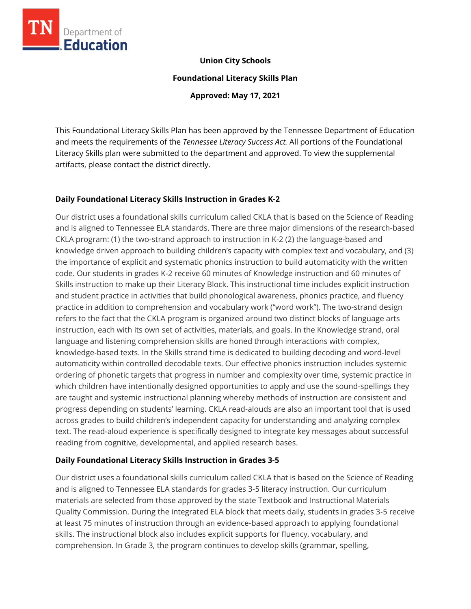

### **Union City Schools**

**Foundational Literacy Skills Plan**

**Approved: May 17, 2021**

This Foundational Literacy Skills Plan has been approved by the Tennessee Department of Education and meets the requirements of the *Tennessee Literacy Success Act.* All portions of the Foundational Literacy Skills plan were submitted to the department and approved. To view the supplemental artifacts, please contact the district directly.

### **Daily Foundational Literacy Skills Instruction in Grades K-2**

Our district uses a foundational skills curriculum called CKLA that is based on the Science of Reading and is aligned to Tennessee ELA standards. There are three major dimensions of the research-based CKLA program: (1) the two-strand approach to instruction in K-2 (2) the language-based and knowledge driven approach to building children's capacity with complex text and vocabulary, and (3) the importance of explicit and systematic phonics instruction to build automaticity with the written code. Our students in grades K-2 receive 60 minutes of Knowledge instruction and 60 minutes of Skills instruction to make up their Literacy Block. This instructional time includes explicit instruction and student practice in activities that build phonological awareness, phonics practice, and fluency practice in addition to comprehension and vocabulary work ("word work"). The two-strand design refers to the fact that the CKLA program is organized around two distinct blocks of language arts instruction, each with its own set of activities, materials, and goals. In the Knowledge strand, oral language and listening comprehension skills are honed through interactions with complex, knowledge-based texts. In the Skills strand time is dedicated to building decoding and word-level automaticity within controlled decodable texts. Our effective phonics instruction includes systemic ordering of phonetic targets that progress in number and complexity over time, systemic practice in which children have intentionally designed opportunities to apply and use the sound-spellings they are taught and systemic instructional planning whereby methods of instruction are consistent and progress depending on students' learning. CKLA read-alouds are also an important tool that is used across grades to build children's independent capacity for understanding and analyzing complex text. The read-aloud experience is specifically designed to integrate key messages about successful reading from cognitive, developmental, and applied research bases.

### **Daily Foundational Literacy Skills Instruction in Grades 3-5**

Our district uses a foundational skills curriculum called CKLA that is based on the Science of Reading and is aligned to Tennessee ELA standards for grades 3-5 literacy instruction. Our curriculum materials are selected from those approved by the state Textbook and Instructional Materials Quality Commission. During the integrated ELA block that meets daily, students in grades 3-5 receive at least 75 minutes of instruction through an evidence-based approach to applying foundational skills. The instructional block also includes explicit supports for fluency, vocabulary, and comprehension. In Grade 3, the program continues to develop skills (grammar, spelling,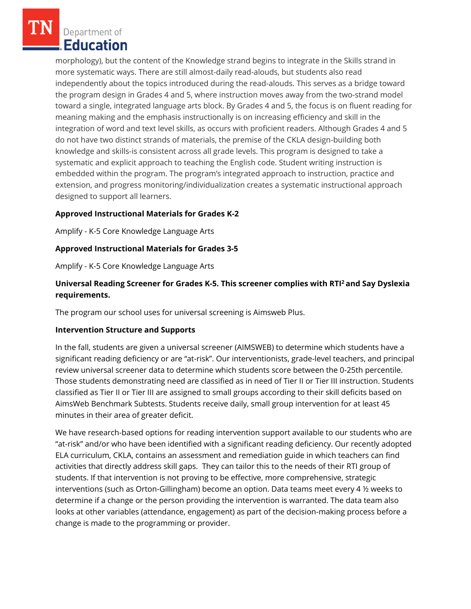Department of **Education** 

morphology), but the content of the Knowledge strand begins to integrate in the Skills strand in more systematic ways. There are still almost-daily read-alouds, but students also read independently about the topics introduced during the read-alouds. This serves as a bridge toward the program design in Grades 4 and 5, where instruction moves away from the two-strand model toward a single, integrated language arts block. By Grades 4 and 5, the focus is on fluent reading for meaning making and the emphasis instructionally is on increasing efficiency and skill in the integration of word and text level skills, as occurs with proficient readers. Although Grades 4 and 5 do not have two distinct strands of materials, the premise of the CKLA design-building both knowledge and skills-is consistent across all grade levels. This program is designed to take a systematic and explicit approach to teaching the English code. Student writing instruction is embedded within the program. The program's integrated approach to instruction, practice and extension, and progress monitoring/individualization creates a systematic instructional approach designed to support all learners.

### **Approved Instructional Materials for Grades K-2**

Amplify - K-5 Core Knowledge Language Arts

### **Approved Instructional Materials for Grades 3-5**

Amplify - K-5 Core Knowledge Language Arts

# **Universal Reading Screener for Grades K-5. This screener complies with RTI<sup>2</sup>and Say Dyslexia requirements.**

The program our school uses for universal screening is Aimsweb Plus.

### **Intervention Structure and Supports**

In the fall, students are given a universal screener (AIMSWEB) to determine which students have a significant reading deficiency or are "at-risk". Our interventionists, grade-level teachers, and principal review universal screener data to determine which students score between the 0-25th percentile. Those students demonstrating need are classified as in need of Tier II or Tier III instruction. Students classified as Tier II or Tier III are assigned to small groups according to their skill deficits based on AimsWeb Benchmark Subtests. Students receive daily, small group intervention for at least 45 minutes in their area of greater deficit.

We have research-based options for reading intervention support available to our students who are "at-risk" and/or who have been identified with a significant reading deficiency. Our recently adopted ELA curriculum, CKLA, contains an assessment and remediation guide in which teachers can find activities that directly address skill gaps. They can tailor this to the needs of their RTI group of students. If that intervention is not proving to be effective, more comprehensive, strategic interventions (such as Orton-Gillingham) become an option. Data teams meet every 4 ½ weeks to determine if a change or the person providing the intervention is warranted. The data team also looks at other variables (attendance, engagement) as part of the decision-making process before a change is made to the programming or provider.